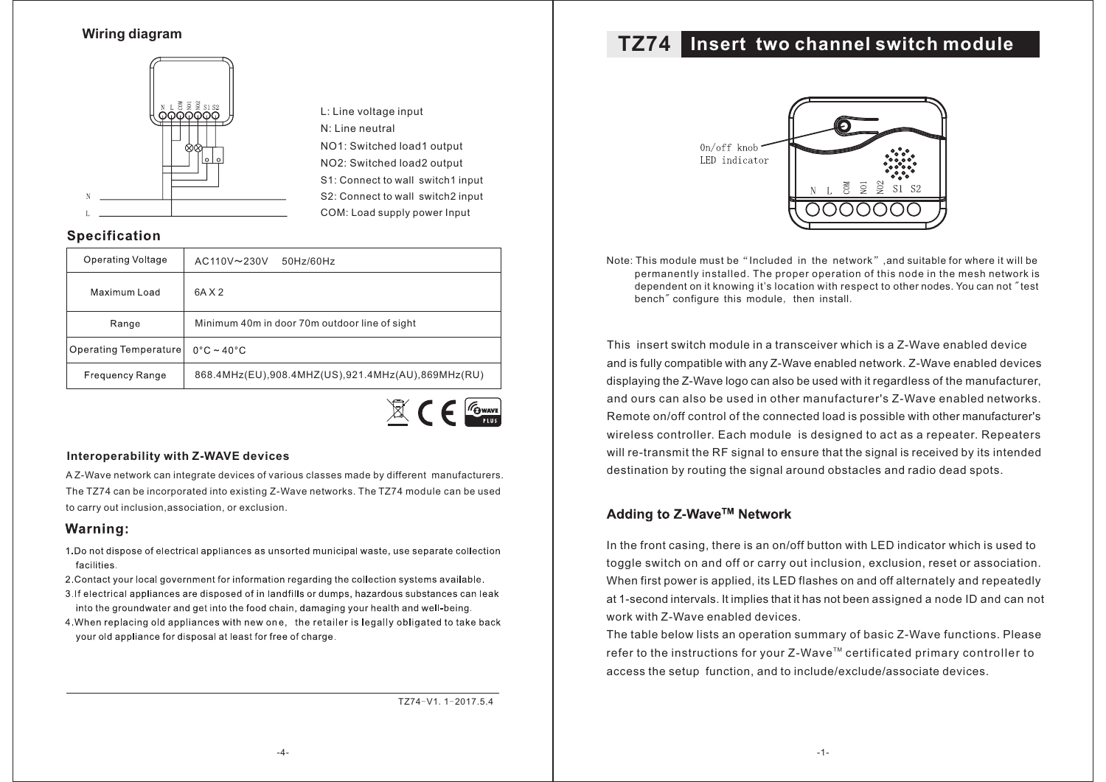### **Wiring diagram**



L: Line voltage input NO1: Switched load1 output S2: Connect to wall switch2 input N: Line neutral NO2: Switched load2 output S1: Connect to wall switch1 input COM: Load supply power Input

### **Specification**

| Operating Voltage      | $AC110V \sim 230V$<br>$50$ Hz/60Hz                |  |  |
|------------------------|---------------------------------------------------|--|--|
| Maximum Load           | 6A X 2                                            |  |  |
| Range                  | Minimum 40m in door 70m outdoor line of sight     |  |  |
| Operating Temperature  | $0^{\circ}$ C ~ 40 $^{\circ}$ C                   |  |  |
| <b>Frequency Range</b> | 868.4MHz(EU),908.4MHZ(US),921.4MHz(AU),869MHz(RU) |  |  |



#### **Interoperability with Z-WAVE devices**

A Z-Wave network can integrate devices of various classes made by different manufacturers. The TZ74 can be incorporated into existing Z-Wave networks. The TZ74 module can be used to carry out inclusion,association, or exclusion.

#### Warning:

- 1. Do not dispose of electrical appliances as unsorted municipal waste, use separate collection facilities.
- 2. Contact your local government for information regarding the collection systems available.
- 3. If electrical appliances are disposed of in landfills or dumps, hazardous substances can leak into the groundwater and get into the food chain, damaging your health and well-being.
- 4. When replacing old appliances with new one. the retailer is legally obligated to take back your old appliance for disposal at least for free of charge.

TZ74-V1.1-2017.5.4

# **Insert two channel switch module TZ74**



Note: This module must be "Included in the network", and suitable for where it will be permanently installed. The proper operation of this node in the mesh network is dependent on it knowing it's location with respect to other nodes. You can not "test bench" configure this module, then install.

This insert switch module in a transceiver which is a Z-Wave enabled device and is fully compatible with any Z-Wave enabled network. Z-Wave enabled devices displaying the Z-Wave logo can also be used with it regardless of the manufacturer, and ours can also be used in other manufacturer's Z-Wave enabled networks. Remote on/off control of the connected load is possible with other manufacturer's wireless controller. Each module is designed to act as a repeater. Repeaters will re-transmit the RF signal to ensure that the signal is received by its intended destination by routing the signal around obstacles and radio dead spots.

### Adding to Z-Wave™ Network

In the front casing, there is an on/off button with LED indicator which is used to toggle switch on and off or carry out inclusion, exclusion, reset or association. When first power is applied, its LED flashes on and off alternately and repeatedly at 1-second intervals. It implies that it has not been assigned a node ID and can not work with Z-Wave enabled devices.

The table below lists an operation summary of basic Z-Wave functions. Please refer to the instructions for your Z-Wave $^{\text{\tiny{\textsf{TM}}}}$  certificated primary controller to access the setup function, and to include/exclude/associate devices.